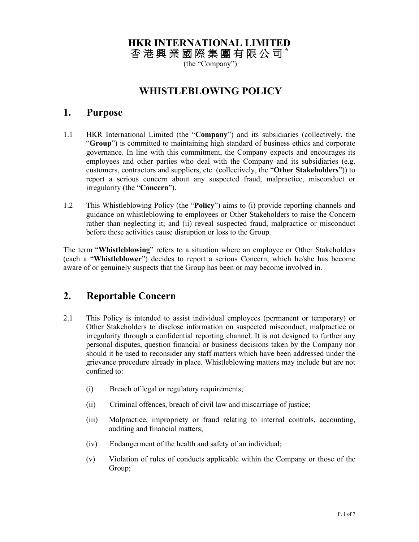## **HKR INTERNATIONAL LIMITED**

香 港 興 業 國 際 集 團 有 限 公 司 **\*** 

(the "Company")

## **WHISTLEBLOWING POLICY**

#### **1. Purpose**

- 1.1 HKR International Limited (the "**Company**") and its subsidiaries (collectively, the "**Group**") is committed to maintaining high standard of business ethics and corporate governance. In line with this commitment, the Company expects and encourages its employees and other parties who deal with the Company and its subsidiaries (e.g. customers, contractors and suppliers, etc. (collectively, the "**Other Stakeholders**")) to report a serious concern about any suspected fraud, malpractice, misconduct or irregularity (the "**Concern**").
- 1.2 This Whistleblowing Policy (the "**Policy**") aims to (i) provide reporting channels and guidance on whistleblowing to employees or Other Stakeholders to raise the Concern rather than neglecting it; and (ii) reveal suspected fraud, malpractice or misconduct before these activities cause disruption or loss to the Group.

The term "**Whistleblowing**" refers to a situation where an employee or Other Stakeholders (each a "**Whistleblower**") decides to report a serious Concern, which he/she has become aware of or genuinely suspects that the Group has been or may become involved in.

#### **2. Reportable Concern**

- 2.1 This Policy is intended to assist individual employees (permanent or temporary) or Other Stakeholders to disclose information on suspected misconduct, malpractice or irregularity through a confidential reporting channel. It is not designed to further any personal disputes, question financial or business decisions taken by the Company nor should it be used to reconsider any staff matters which have been addressed under the grievance procedure already in place. Whistleblowing matters may include but are not confined to:
	- (i) Breach of legal or regulatory requirements;
	- (ii) Criminal offences, breach of civil law and miscarriage of justice;
	- (iii) Malpractice, impropriety or fraud relating to internal controls, accounting, auditing and financial matters;
	- (iv) Endangerment of the health and safety of an individual;
	- (v) Violation of rules of conducts applicable within the Company or those of the Group;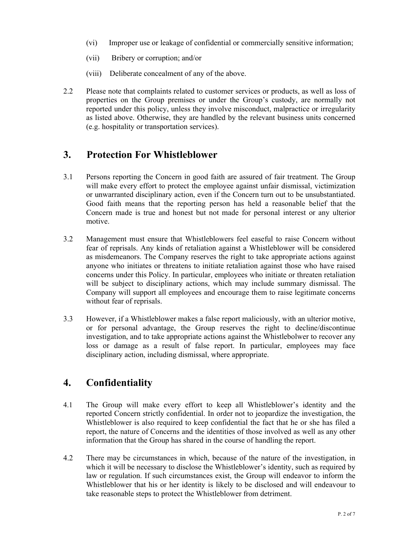- (vi) Improper use or leakage of confidential or commercially sensitive information;
- (vii) Bribery or corruption; and/or
- (viii) Deliberate concealment of any of the above.
- 2.2 Please note that complaints related to customer services or products, as well as loss of properties on the Group premises or under the Group's custody, are normally not reported under this policy, unless they involve misconduct, malpractice or irregularity as listed above. Otherwise, they are handled by the relevant business units concerned (e.g. hospitality or transportation services).

### **3. Protection For Whistleblower**

- 3.1 Persons reporting the Concern in good faith are assured of fair treatment. The Group will make every effort to protect the employee against unfair dismissal, victimization or unwarranted disciplinary action, even if the Concern turn out to be unsubstantiated. Good faith means that the reporting person has held a reasonable belief that the Concern made is true and honest but not made for personal interest or any ulterior motive.
- 3.2 Management must ensure that Whistleblowers feel easeful to raise Concern without fear of reprisals. Any kinds of retaliation against a Whistleblower will be considered as misdemeanors. The Company reserves the right to take appropriate actions against anyone who initiates or threatens to initiate retaliation against those who have raised concerns under this Policy. In particular, employees who initiate or threaten retaliation will be subject to disciplinary actions, which may include summary dismissal. The Company will support all employees and encourage them to raise legitimate concerns without fear of reprisals.
- 3.3 However, if a Whistleblower makes a false report maliciously, with an ulterior motive, or for personal advantage, the Group reserves the right to decline/discontinue investigation, and to take appropriate actions against the Whistlebolwer to recover any loss or damage as a result of false report. In particular, employees may face disciplinary action, including dismissal, where appropriate.

# **4. Confidentiality**

- 4.1 The Group will make every effort to keep all Whistleblower's identity and the reported Concern strictly confidential. In order not to jeopardize the investigation, the Whistleblower is also required to keep confidential the fact that he or she has filed a report, the nature of Concerns and the identities of those involved as well as any other information that the Group has shared in the course of handling the report.
- 4.2 There may be circumstances in which, because of the nature of the investigation, in which it will be necessary to disclose the Whistleblower's identity, such as required by law or regulation. If such circumstances exist, the Group will endeavor to inform the Whistleblower that his or her identity is likely to be disclosed and will endeavour to take reasonable steps to protect the Whistleblower from detriment.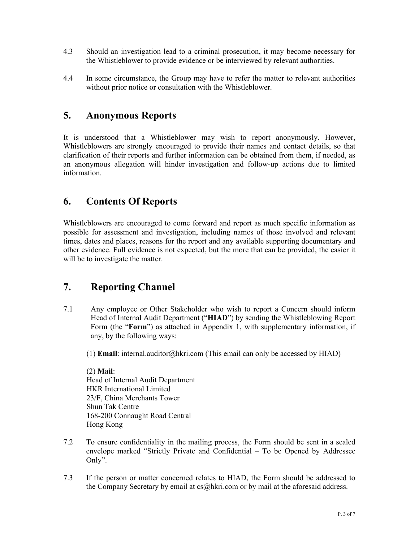- 4.3 Should an investigation lead to a criminal prosecution, it may become necessary for the Whistleblower to provide evidence or be interviewed by relevant authorities.
- 4.4 In some circumstance, the Group may have to refer the matter to relevant authorities without prior notice or consultation with the Whistleblower.

#### **5. Anonymous Reports**

It is understood that a Whistleblower may wish to report anonymously. However, Whistleblowers are strongly encouraged to provide their names and contact details, so that clarification of their reports and further information can be obtained from them, if needed, as an anonymous allegation will hinder investigation and follow-up actions due to limited information.

### **6. Contents Of Reports**

Whistleblowers are encouraged to come forward and report as much specific information as possible for assessment and investigation, including names of those involved and relevant times, dates and places, reasons for the report and any available supporting documentary and other evidence. Full evidence is not expected, but the more that can be provided, the easier it will be to investigate the matter.

## **7. Reporting Channel**

- 7.1 Any employee or Other Stakeholder who wish to report a Concern should inform Head of Internal Audit Department ("**HIAD**") by sending the Whistleblowing Report Form (the "**Form**") as attached in Appendix 1, with supplementary information, if any, by the following ways:
	- (1) **Email**: internal.auditor@hkri.com (This email can only be accessed by HIAD)

(2) **Mail**: Head of Internal Audit Department HKR International Limited 23/F, China Merchants Tower Shun Tak Centre 168-200 Connaught Road Central Hong Kong

- 7.2 To ensure confidentiality in the mailing process, the Form should be sent in a sealed envelope marked "Strictly Private and Confidential – To be Opened by Addressee Only".
- 7.3 If the person or matter concerned relates to HIAD, the Form should be addressed to the Company Secretary by email at cs@hkri.com or by mail at the aforesaid address.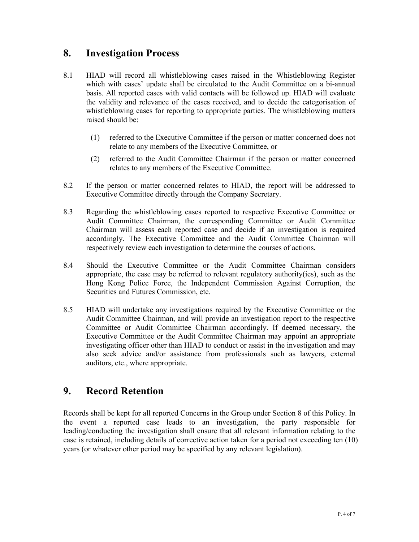#### **8. Investigation Process**

- 8.1 HIAD will record all whistleblowing cases raised in the Whistleblowing Register which with cases' update shall be circulated to the Audit Committee on a bi-annual basis. All reported cases with valid contacts will be followed up. HIAD will evaluate the validity and relevance of the cases received, and to decide the categorisation of whistleblowing cases for reporting to appropriate parties. The whistleblowing matters raised should be:
	- (1) referred to the Executive Committee if the person or matter concerned does not relate to any members of the Executive Committee, or
	- (2) referred to the Audit Committee Chairman if the person or matter concerned relates to any members of the Executive Committee.
- 8.2 If the person or matter concerned relates to HIAD, the report will be addressed to Executive Committee directly through the Company Secretary.
- 8.3 Regarding the whistleblowing cases reported to respective Executive Committee or Audit Committee Chairman, the corresponding Committee or Audit Committee Chairman will assess each reported case and decide if an investigation is required accordingly. The Executive Committee and the Audit Committee Chairman will respectively review each investigation to determine the courses of actions.
- 8.4 Should the Executive Committee or the Audit Committee Chairman considers appropriate, the case may be referred to relevant regulatory authority(ies), such as the Hong Kong Police Force, the Independent Commission Against Corruption, the Securities and Futures Commission, etc.
- 8.5 HIAD will undertake any investigations required by the Executive Committee or the Audit Committee Chairman, and will provide an investigation report to the respective Committee or Audit Committee Chairman accordingly. If deemed necessary, the Executive Committee or the Audit Committee Chairman may appoint an appropriate investigating officer other than HIAD to conduct or assist in the investigation and may also seek advice and/or assistance from professionals such as lawyers, external auditors, etc., where appropriate.

#### **9. Record Retention**

Records shall be kept for all reported Concerns in the Group under Section 8 of this Policy. In the event a reported case leads to an investigation, the party responsible for leading/conducting the investigation shall ensure that all relevant information relating to the case is retained, including details of corrective action taken for a period not exceeding ten (10) years (or whatever other period may be specified by any relevant legislation).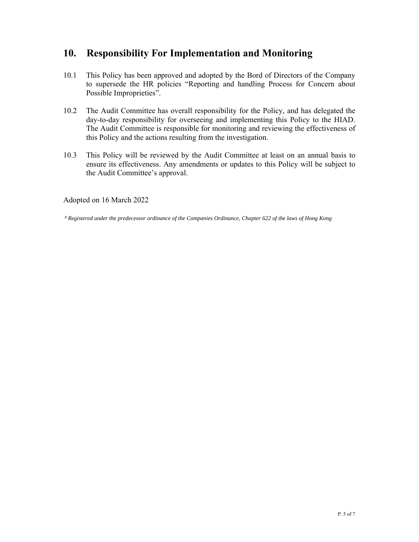### **10. Responsibility For Implementation and Monitoring**

- 10.1 This Policy has been approved and adopted by the Bord of Directors of the Company to supersede the HR policies "Reporting and handling Process for Concern about Possible Improprieties".
- 10.2 The Audit Committee has overall responsibility for the Policy, and has delegated the day-to-day responsibility for overseeing and implementing this Policy to the HIAD. The Audit Committee is responsible for monitoring and reviewing the effectiveness of this Policy and the actions resulting from the investigation.
- 10.3 This Policy will be reviewed by the Audit Committee at least on an annual basis to ensure its effectiveness. Any amendments or updates to this Policy will be subject to the Audit Committee's approval.

Adopted on 16 March 2022

\* *Registered under the predecessor ordinance of the Companies Ordinance, Chapter 622 of the laws of Hong Kong*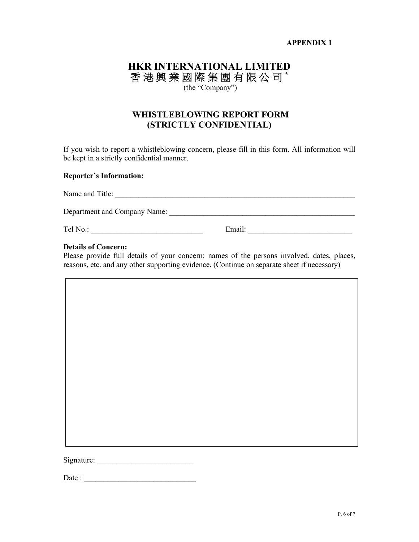#### **APPENDIX 1**

#### **HKR INTERNATIONAL LIMITED**  香 港 興 業 國 際 集 團 有 限 公 司 **\***  (the "Company")

#### **WHISTLEBLOWING REPORT FORM (STRICTLY CONFIDENTIAL)**

If you wish to report a whistleblowing concern, please fill in this form. All information will be kept in a strictly confidential manner.

#### **Reporter's Information:**

| Name and Title:              |        |  |
|------------------------------|--------|--|
| Department and Company Name: |        |  |
| Tel No.:                     | Email: |  |

#### **Details of Concern:**

Please provide full details of your concern: names of the persons involved, dates, places, reasons, etc. and any other supporting evidence. (Continue on separate sheet if necessary)

Signature: \_\_\_\_\_\_\_\_\_\_\_\_\_\_\_\_\_\_\_\_\_\_\_\_\_

| Date : |  |  |  |
|--------|--|--|--|
|        |  |  |  |